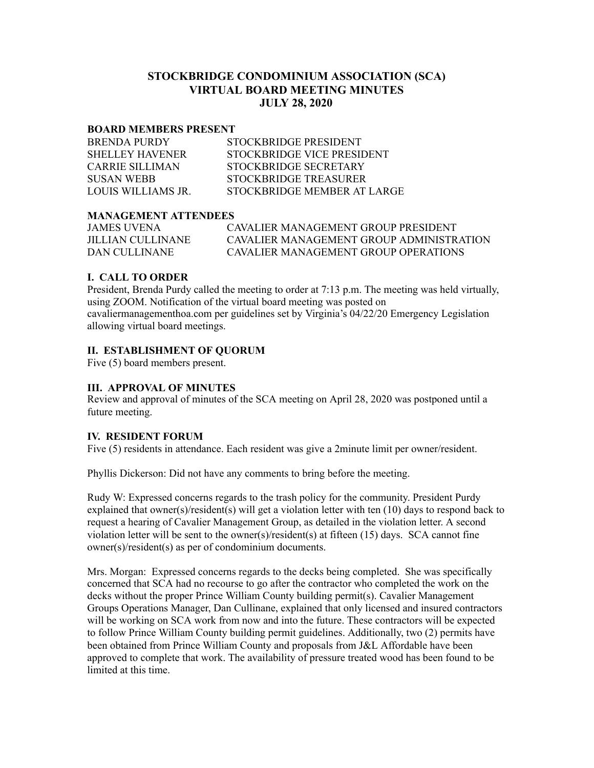# **STOCKBRIDGE CONDOMINIUM ASSOCIATION (SCA) VIRTUAL BOARD MEETING MINUTES JULY 28, 2020**

#### **BOARD MEMBERS PRESENT**

| <b>BRENDA PURDY</b>    | STOCKBRIDGE PRESIDENT       |
|------------------------|-----------------------------|
| <b>SHELLEY HAVENER</b> | STOCKBRIDGE VICE PRESIDENT  |
| CARRIE SILLIMAN        | STOCKBRIDGE SECRETARY       |
| SUSAN WEBB             | STOCKBRIDGE TREASURER       |
| LOUIS WILLIAMS IR      | STOCKBRIDGE MEMBER AT LARGE |

### **MANAGEMENT ATTENDEES**

| JAMES UVENA       | CAVALIER MANAGEMENT GROUP PRESIDENT      |
|-------------------|------------------------------------------|
| JILLIAN CULLINANE | CAVALIER MANAGEMENT GROUP ADMINISTRATION |
| DAN CULLINANE     | CAVALIER MANAGEMENT GROUP OPER ATIONS    |

## **I. CALL TO ORDER**

President, Brenda Purdy called the meeting to order at 7:13 p.m. The meeting was held virtually, using ZOOM. Notification of the virtual board meeting was posted on cavaliermanagementhoa.com per guidelines set by Virginia's 04/22/20 Emergency Legislation allowing virtual board meetings.

### **II. ESTABLISHMENT OF QUORUM**

Five (5) board members present.

### **III. APPROVAL OF MINUTES**

Review and approval of minutes of the SCA meeting on April 28, 2020 was postponed until a future meeting.

### **IV. RESIDENT FORUM**

Five (5) residents in attendance. Each resident was give a 2minute limit per owner/resident.

Phyllis Dickerson: Did not have any comments to bring before the meeting.

Rudy W: Expressed concerns regards to the trash policy for the community. President Purdy explained that owner(s)/resident(s) will get a violation letter with ten (10) days to respond back to request a hearing of Cavalier Management Group, as detailed in the violation letter. A second violation letter will be sent to the owner(s)/resident(s) at fifteen (15) days. SCA cannot fine owner(s)/resident(s) as per of condominium documents.

Mrs. Morgan: Expressed concerns regards to the decks being completed. She was specifically concerned that SCA had no recourse to go after the contractor who completed the work on the decks without the proper Prince William County building permit(s). Cavalier Management Groups Operations Manager, Dan Cullinane, explained that only licensed and insured contractors will be working on SCA work from now and into the future. These contractors will be expected to follow Prince William County building permit guidelines. Additionally, two (2) permits have been obtained from Prince William County and proposals from J&L Affordable have been approved to complete that work. The availability of pressure treated wood has been found to be limited at this time.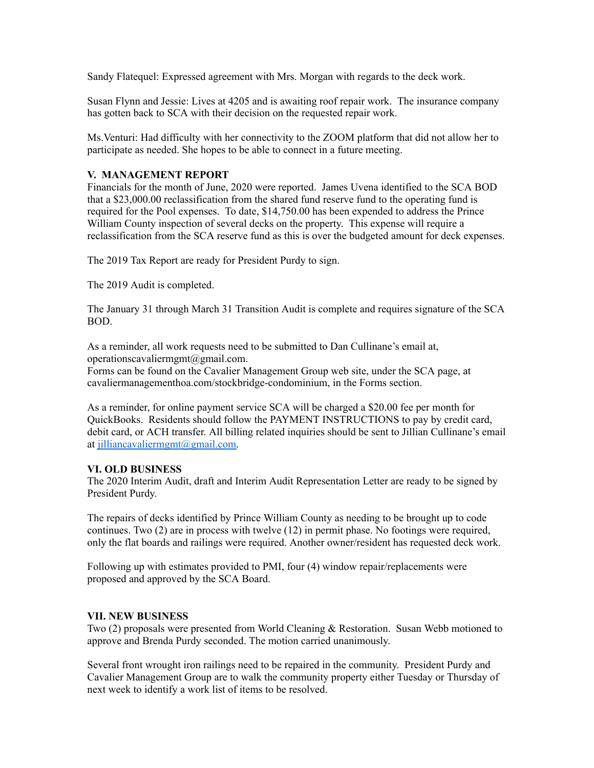Sandy Flatequel: Expressed agreement with Mrs. Morgan with regards to the deck work.

Susan Flynn and Jessie: Lives at 4205 and is awaiting roof repair work. The insurance company has gotten back to SCA with their decision on the requested repair work.

Ms.Venturi: Had difficulty with her connectivity to the ZOOM platform that did not allow her to participate as needed. She hopes to be able to connect in a future meeting.

#### **V. MANAGEMENT REPORT**

Financials for the month of June, 2020 were reported. James Uvena identified to the SCA BOD that a \$23,000.00 reclassification from the shared fund reserve fund to the operating fund is required for the Pool expenses. To date, \$14,750.00 has been expended to address the Prince William County inspection of several decks on the property. This expense will require a reclassification from the SCA reserve fund as this is over the budgeted amount for deck expenses.

The 2019 Tax Report are ready for President Purdy to sign.

The 2019 Audit is completed.

The January 31 through March 31 Transition Audit is complete and requires signature of the SCA BOD.

As a reminder, all work requests need to be submitted to Dan Cullinane's email at, operationscavaliermgmt@gmail.com.

Forms can be found on the Cavalier Management Group web site, under the SCA page, at cavaliermanagementhoa.com/stockbridge-condominium, in the Forms section.

As a reminder, for online payment service SCA will be charged a \$20.00 fee per month for QuickBooks. Residents should follow the PAYMENT INSTRUCTIONS to pay by credit card, debit card, or ACH transfer. All billing related inquiries should be sent to Jillian Cullinane's email at [jilliancavaliermgmt@gmail.com.](mailto:jilliancavaliermgmt@gmail.com)

#### **VI. OLD BUSINESS**

The 2020 Interim Audit, draft and Interim Audit Representation Letter are ready to be signed by President Purdy.

The repairs of decks identified by Prince William County as needing to be brought up to code continues. Two (2) are in process with twelve (12) in permit phase. No footings were required, only the flat boards and railings were required. Another owner/resident has requested deck work.

Following up with estimates provided to PMI, four (4) window repair/replacements were proposed and approved by the SCA Board.

### **VII. NEW BUSINESS**

Two (2) proposals were presented from World Cleaning & Restoration. Susan Webb motioned to approve and Brenda Purdy seconded. The motion carried unanimously.

Several front wrought iron railings need to be repaired in the community. President Purdy and Cavalier Management Group are to walk the community property either Tuesday or Thursday of next week to identify a work list of items to be resolved.